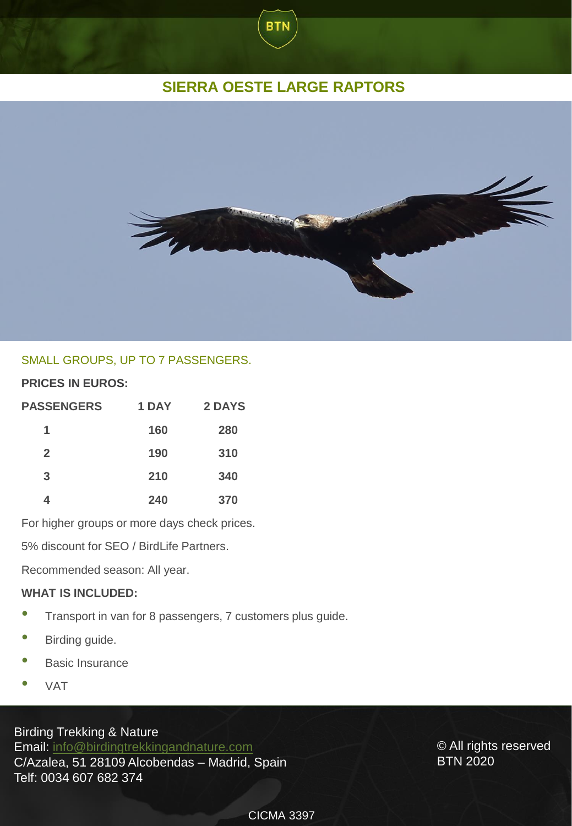# **SIERRA OESTE LARGE RAPTORS**

**BTN** 



## SMALL GROUPS, UP TO 7 PASSENGERS.

## **PRICES IN EUROS:**

| <b>PASSENGERS</b> | 1 DAY | 2 DAYS |
|-------------------|-------|--------|
| 1                 | 160   | 280    |
| $\overline{2}$    | 190   | 310    |
| 3                 | 210   | 340    |
|                   | 240   | 370    |

For higher groups or more days check prices.

5% discount for SEO / BirdLife Partners.

Recommended season: All year.

#### **WHAT IS INCLUDED:**

- Transport in van for <sup>8</sup> passengers, <sup>7</sup> customers plus guide.
- Birding guide.
- Basic Insurance
- VAT

Birding Trekking & Nature

Email: [info@birdingtrekkingandnature.com](mailto:info@birdingtrekkingandnature.com) C/Azalea, 51 28109 Alcobendas – Madrid, Spain Telf: 0034 607 682 374

© All rights reserved BTN 2020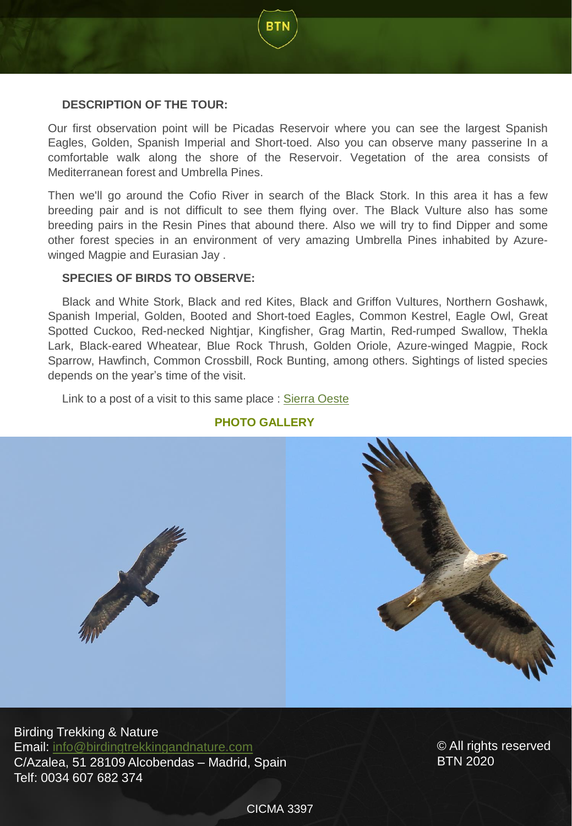## **DESCRIPTION OF THE TOUR:**

Our first observation point will be Picadas Reservoir where you can see the largest Spanish Eagles, Golden, Spanish Imperial and Short-toed. Also you can observe many passerine In a comfortable walk along the shore of the Reservoir. Vegetation of the area consists of Mediterranean forest and Umbrella Pines.

**BTN** 

Then we'll go around the Cofio River in search of the Black Stork. In this area it has a few breeding pair and is not difficult to see them flying over. The Black Vulture also has some breeding pairs in the Resin Pines that abound there. Also we will try to find Dipper and some other forest species in an environment of very amazing Umbrella Pines inhabited by Azurewinged Magpie and Eurasian Jay .

### **SPECIES OF BIRDS TO OBSERVE:**

Black and White Stork, Black and red Kites, Black and Griffon Vultures, Northern Goshawk, Spanish Imperial, Golden, Booted and Short-toed Eagles, Common Kestrel, Eagle Owl, Great Spotted Cuckoo, Red-necked Nightjar, Kingfisher, Grag Martin, Red-rumped Swallow, Thekla Lark, Black-eared Wheatear, Blue Rock Thrush, Golden Oriole, Azure-winged Magpie, Rock Sparrow, Hawfinch, Common Crossbill, Rock Bunting, among others. Sightings of listed species depends on the year's time of the visit.

Link to a post of a visit to this same place : Sierra [Oeste](https://birdingtrekkingandnaturecom-luis.blogspot.com/2019/10/pajareando-por-madrid-grandes-rapaces.html)



## **PHOTO GALLERY**

Birding Trekking & Nature Email: [info@birdingtrekkingandnature.com](mailto:info@birdingtrekkingandnature.com) C/Azalea, 51 28109 Alcobendas – Madrid, Spain Telf: 0034 607 682 374

© All rights reserved BTN 2020